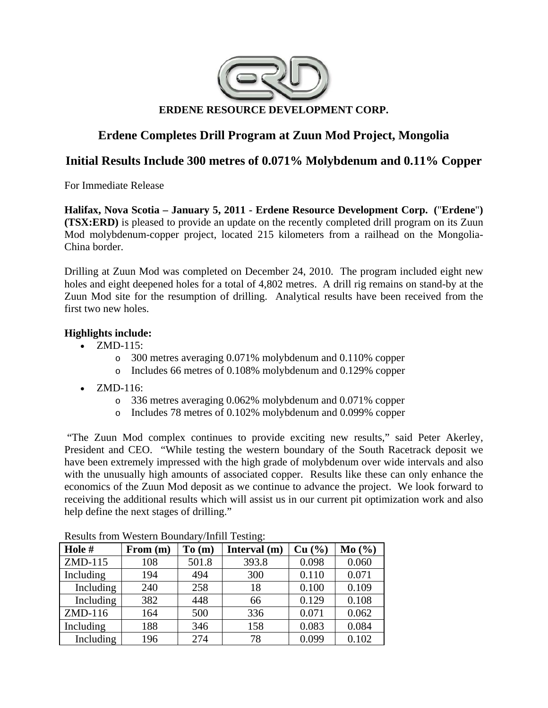

# **Erdene Completes Drill Program at Zuun Mod Project, Mongolia**

# **Initial Results Include 300 metres of 0.071% Molybdenum and 0.11% Copper**

For Immediate Release

**Halifax, Nova Scotia – January 5, 2011 - Erdene Resource Development Corp. (**"**Erdene**"**) (TSX:ERD)** is pleased to provide an update on the recently completed drill program on its Zuun Mod molybdenum-copper project, located 215 kilometers from a railhead on the Mongolia-China border.

Drilling at Zuun Mod was completed on December 24, 2010. The program included eight new holes and eight deepened holes for a total of 4,802 metres. A drill rig remains on stand-by at the Zuun Mod site for the resumption of drilling. Analytical results have been received from the first two new holes.

## **Highlights include:**

- $\bullet$  ZMD-115:
	- o 300 metres averaging 0.071% molybdenum and 0.110% copper
	- o Includes 66 metres of 0.108% molybdenum and 0.129% copper
- ZMD-116:
	- o 336 metres averaging 0.062% molybdenum and 0.071% copper
	- o Includes 78 metres of 0.102% molybdenum and 0.099% copper

 "The Zuun Mod complex continues to provide exciting new results," said Peter Akerley, President and CEO. "While testing the western boundary of the South Racetrack deposit we have been extremely impressed with the high grade of molybdenum over wide intervals and also with the unusually high amounts of associated copper. Results like these can only enhance the economics of the Zuun Mod deposit as we continue to advance the project. We look forward to receiving the additional results which will assist us in our current pit optimization work and also help define the next stages of drilling."

| -- 0      |            |       |              |        |       |
|-----------|------------|-------|--------------|--------|-------|
| Hole #    | From $(m)$ | To(m) | Interval (m) | Cu (%) | Mo(%) |
| ZMD-115   | 108        | 501.8 | 393.8        | 0.098  | 0.060 |
| Including | 194        | 494   | 300          | 0.110  | 0.071 |
| Including | 240        | 258   | 18           | 0.100  | 0.109 |
| Including | 382        | 448   | 66           | 0.129  | 0.108 |
| ZMD-116   | 164        | 500   | 336          | 0.071  | 0.062 |
| Including | 188        | 346   | 158          | 0.083  | 0.084 |
| Including | 196        | 274   | 78           | 0.099  | 0.102 |

Results from Western Boundary/Infill Testing: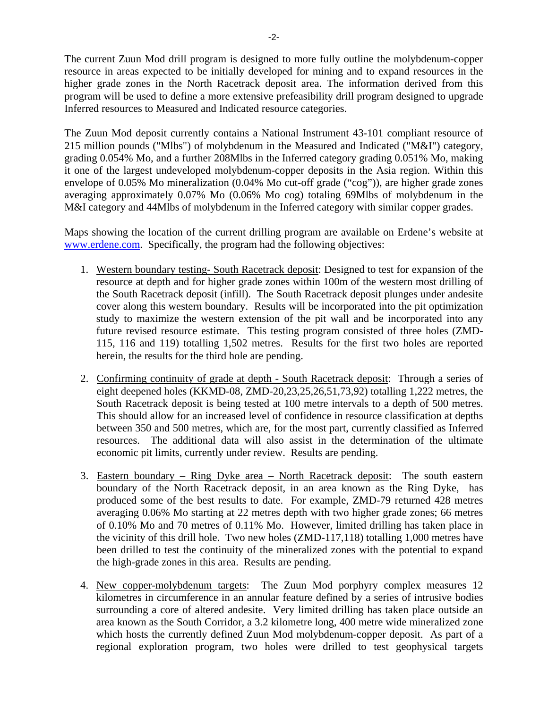The current Zuun Mod drill program is designed to more fully outline the molybdenum-copper resource in areas expected to be initially developed for mining and to expand resources in the higher grade zones in the North Racetrack deposit area. The information derived from this program will be used to define a more extensive prefeasibility drill program designed to upgrade Inferred resources to Measured and Indicated resource categories.

The Zuun Mod deposit currently contains a National Instrument 43-101 compliant resource of 215 million pounds ("Mlbs") of molybdenum in the Measured and Indicated ("M&I") category, grading 0.054% Mo, and a further 208Mlbs in the Inferred category grading 0.051% Mo, making it one of the largest undeveloped molybdenum-copper deposits in the Asia region. Within this envelope of 0.05% Mo mineralization (0.04% Mo cut-off grade ("cog")), are higher grade zones averaging approximately 0.07% Mo (0.06% Mo cog) totaling 69Mlbs of molybdenum in the M&I category and 44Mlbs of molybdenum in the Inferred category with similar copper grades.

Maps showing the location of the current drilling program are available on Erdene's website at www.erdene.com. Specifically, the program had the following objectives:

- 1. Western boundary testing- South Racetrack deposit: Designed to test for expansion of the resource at depth and for higher grade zones within 100m of the western most drilling of the South Racetrack deposit (infill). The South Racetrack deposit plunges under andesite cover along this western boundary. Results will be incorporated into the pit optimization study to maximize the western extension of the pit wall and be incorporated into any future revised resource estimate. This testing program consisted of three holes (ZMD-115, 116 and 119) totalling 1,502 metres. Results for the first two holes are reported herein, the results for the third hole are pending.
- 2. Confirming continuity of grade at depth South Racetrack deposit: Through a series of eight deepened holes (KKMD-08, ZMD-20,23,25,26,51,73,92) totalling 1,222 metres, the South Racetrack deposit is being tested at 100 metre intervals to a depth of 500 metres. This should allow for an increased level of confidence in resource classification at depths between 350 and 500 metres, which are, for the most part, currently classified as Inferred resources. The additional data will also assist in the determination of the ultimate economic pit limits, currently under review. Results are pending.
- 3. Eastern boundary Ring Dyke area North Racetrack deposit: The south eastern boundary of the North Racetrack deposit, in an area known as the Ring Dyke, has produced some of the best results to date. For example, ZMD-79 returned 428 metres averaging 0.06% Mo starting at 22 metres depth with two higher grade zones; 66 metres of 0.10% Mo and 70 metres of 0.11% Mo. However, limited drilling has taken place in the vicinity of this drill hole. Two new holes (ZMD-117,118) totalling 1,000 metres have been drilled to test the continuity of the mineralized zones with the potential to expand the high-grade zones in this area. Results are pending.
- 4. New copper-molybdenum targets: The Zuun Mod porphyry complex measures 12 kilometres in circumference in an annular feature defined by a series of intrusive bodies surrounding a core of altered andesite. Very limited drilling has taken place outside an area known as the South Corridor, a 3.2 kilometre long, 400 metre wide mineralized zone which hosts the currently defined Zuun Mod molybdenum-copper deposit. As part of a regional exploration program, two holes were drilled to test geophysical targets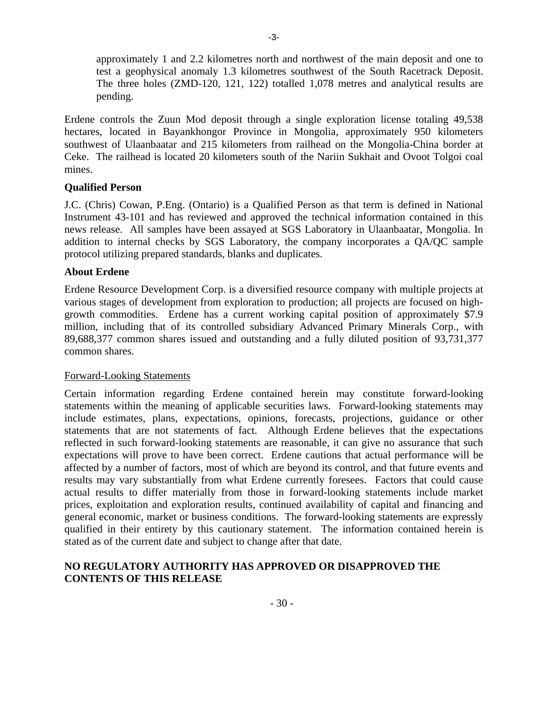approximately 1 and 2.2 kilometres north and northwest of the main deposit and one to test a geophysical anomaly 1.3 kilometres southwest of the South Racetrack Deposit. The three holes (ZMD-120, 121, 122) totalled 1,078 metres and analytical results are pending.

Erdene controls the Zuun Mod deposit through a single exploration license totaling 49,538 hectares, located in Bayankhongor Province in Mongolia, approximately 950 kilometers southwest of Ulaanbaatar and 215 kilometers from railhead on the Mongolia-China border at Ceke. The railhead is located 20 kilometers south of the Nariin Sukhait and Ovoot Tolgoi coal mines.

#### **Qualified Person**

J.C. (Chris) Cowan, P.Eng. (Ontario) is a Qualified Person as that term is defined in National Instrument 43-101 and has reviewed and approved the technical information contained in this news release. All samples have been assayed at SGS Laboratory in Ulaanbaatar, Mongolia. In addition to internal checks by SGS Laboratory, the company incorporates a QA/QC sample protocol utilizing prepared standards, blanks and duplicates.

#### **About Erdene**

Erdene Resource Development Corp. is a diversified resource company with multiple projects at various stages of development from exploration to production; all projects are focused on highgrowth commodities. Erdene has a current working capital position of approximately \$7.9 million, including that of its controlled subsidiary Advanced Primary Minerals Corp., with 89,688,377 common shares issued and outstanding and a fully diluted position of 93,731,377 common shares.

#### Forward-Looking Statements

Certain information regarding Erdene contained herein may constitute forward-looking statements within the meaning of applicable securities laws. Forward-looking statements may include estimates, plans, expectations, opinions, forecasts, projections, guidance or other statements that are not statements of fact. Although Erdene believes that the expectations reflected in such forward-looking statements are reasonable, it can give no assurance that such expectations will prove to have been correct. Erdene cautions that actual performance will be affected by a number of factors, most of which are beyond its control, and that future events and results may vary substantially from what Erdene currently foresees. Factors that could cause actual results to differ materially from those in forward-looking statements include market prices, exploitation and exploration results, continued availability of capital and financing and general economic, market or business conditions. The forward-looking statements are expressly qualified in their entirety by this cautionary statement. The information contained herein is stated as of the current date and subject to change after that date.

### **NO REGULATORY AUTHORITY HAS APPROVED OR DISAPPROVED THE CONTENTS OF THIS RELEASE**